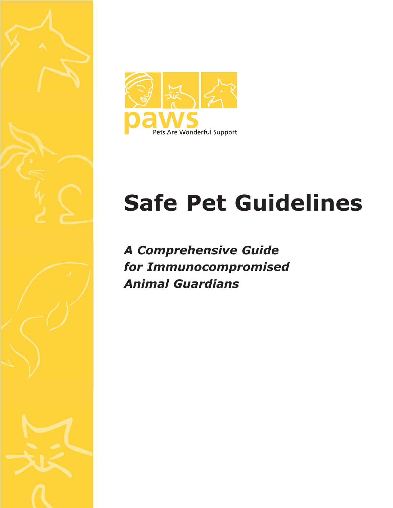

# **Safe Pet Guidelines**

*A Comprehensive Guide for Immunocompromised Animal Guardians*

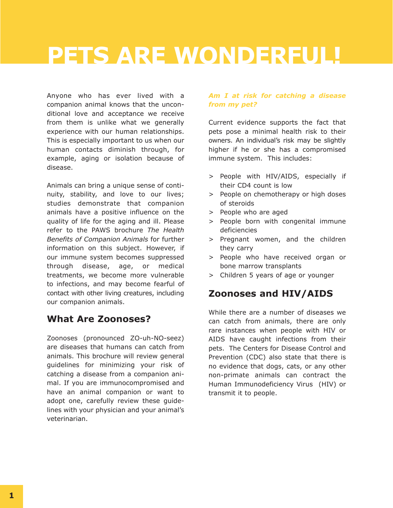# **PETS ARE WONDERFUL!**

Anyone who has ever lived with a companion animal knows that the unconditional love and acceptance we receive from them is unlike what we generally experience with our human relationships. This is especially important to us when our human contacts diminish through, for example, aging or isolation because of disease.

Animals can bring a unique sense of continuity, stability, and love to our lives; studies demonstrate that companion animals have a positive influence on the quality of life for the aging and ill. Please refer to the PAWS brochure *The Health Benefits of Companion Animals* for further information on this subject. However, if our immune system becomes suppressed through disease, age, or medical treatments, we become more vulnerable to infections, and may become fearful of contact with other living creatures, including our companion animals.

## **What Are Zoonoses?**

Zoonoses (pronounced ZO-uh-NO-seez) are diseases that humans can catch from animals. This brochure will review general guidelines for minimizing your risk of catching a disease from a companion animal. If you are immunocompromised and have an animal companion or want to adopt one, carefully review these guidelines with your physician and your animal's veterinarian.

#### *Am I at risk for catching a disease from my pet?*

Current evidence supports the fact that pets pose a minimal health risk to their owners. An individual's risk may be slightly higher if he or she has a compromised immune system. This includes:

- > People with HIV/AIDS, especially if their CD4 count is low
- > People on chemotherapy or high doses of steroids
- > People who are aged
- > People born with congenital immune deficiencies
- > Pregnant women, and the children they carry
- > People who have received organ or bone marrow transplants
- > Children 5 years of age or younger

## **Zoonoses and HIV/AIDS**

While there are a number of diseases we can catch from animals, there are only rare instances when people with HIV or AIDS have caught infections from their pets. The Centers for Disease Control and Prevention (CDC) also state that there is no evidence that dogs, cats, or any other non-primate animals can contract the Human Immunodeficiency Virus (HIV) or transmit it to people.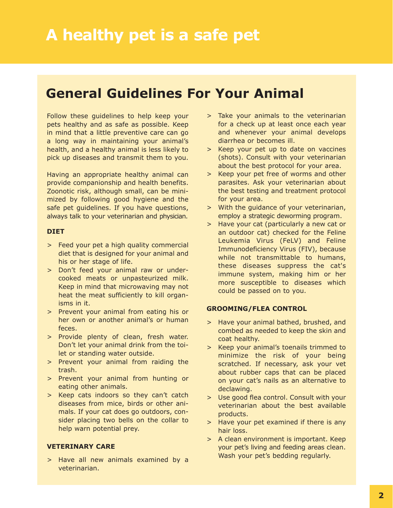## **General Guidelines For Your Animal**

Follow these guidelines to help keep your pets healthy and as safe as possible. Keep in mind that a little preventive care can go a long way in maintaining your animal's health, and a healthy animal is less likely to pick up diseases and transmit them to you.

Having an appropriate healthy animal can provide companionship and health benefits. Zoonotic risk, although small, can be minimized by following good hygiene and the safe pet quidelines. If you have questions, always talk to your veterinarian and physician.

#### **DIET**

- > Feed your pet a high quality commercial diet that is designed for your animal and his or her stage of life.
- > Don't feed your animal raw or undercooked meats or unpasteurized milk. Keep in mind that microwaving may not heat the meat sufficiently to kill organisms in it.
- > Prevent your animal from eating his or her own or another animal's or human feces.
- > Provide plenty of clean, fresh water. Don't let your animal drink from the toilet or standing water outside.
- > Prevent your animal from raiding the trash.
- > Prevent your animal from hunting or eating other animals.
- > Keep cats indoors so they can't catch diseases from mice, birds or other animals. If your cat does go outdoors, consider placing two bells on the collar to help warn potential prey.

#### **VETERINARY CARE**

> Have all new animals examined by a veterinarian.

- > Take your animals to the veterinarian for a check up at least once each year and whenever your animal develops diarrhea or becomes ill.
- > Keep your pet up to date on vaccines (shots). Consult with your veterinarian about the best protocol for your area.
- > Keep your pet free of worms and other parasites. Ask your veterinarian about the best testing and treatment protocol for your area.
- > With the guidance of your veterinarian, employ a strategic deworming program.
- > Have your cat (particularly a new cat or an outdoor cat) checked for the Feline Leukemia Virus (FeLV) and Feline Immunodeficiency Virus (FIV), because while not transmittable to humans, these diseases suppress the cat's immune system, making him or her more susceptible to diseases which could be passed on to you.

#### **GROOMING/FLEA CONTROL**

- > Have your animal bathed, brushed, and combed as needed to keep the skin and coat healthy.
- > Keep your animal's toenails trimmed to minimize the risk of your being scratched. If necessary, ask your vet about rubber caps that can be placed on your cat's nails as an alternative to declawing.
- > Use good flea control. Consult with your veterinarian about the best available products.
- > Have your pet examined if there is any hair loss.
- > A clean environment is important. Keep your pet's living and feeding areas clean. Wash your pet's bedding regularly.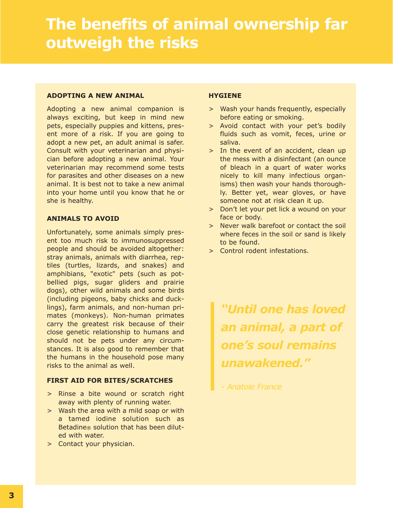## **The benefits of animal ownership far outweigh the risks**

#### **ADOPTING A NEW ANIMAL**

Adopting a new animal companion is always exciting, but keep in mind new pets, especially puppies and kittens, present more of a risk. If you are going to adopt a new pet, an adult animal is safer. Consult with your veterinarian and physician before adopting a new animal. Your veterinarian may recommend some tests for parasites and other diseases on a new animal. It is best not to take a new animal into your home until you know that he or she is healthy.

#### **ANIMALS TO AVOID**

Unfortunately, some animals simply present too much risk to immunosuppressed people and should be avoided altogether: stray animals, animals with diarrhea, reptiles (turtles, lizards, and snakes) and amphibians, "exotic" pets (such as potbellied pigs, sugar gliders and prairie dogs), other wild animals and some birds (including pigeons, baby chicks and ducklings), farm animals, and non-human primates (monkeys). Non-human primates carry the greatest risk because of their close genetic relationship to humans and should not be pets under any circumstances. It is also good to remember that the humans in the household pose many risks to the animal as well.

#### **FIRST AID FOR BITES/SCRATCHES**

- > Rinse a bite wound or scratch right away with plenty of running water.
- > Wash the area with a mild soap or with a tamed iodine solution such as Betadine® solution that has been diluted with water.
- > Contact your physician.

#### **HYGIENE**

- > Wash your hands frequently, especially before eating or smoking.
- > Avoid contact with your pet's bodily fluids such as vomit, feces, urine or saliva.
- > In the event of an accident, clean up the mess with a disinfectant (an ounce of bleach in a quart of water works nicely to kill many infectious organisms) then wash your hands thoroughly. Better yet, wear gloves, or have someone not at risk clean it up.
- > Don't let your pet lick a wound on your face or body.
- > Never walk barefoot or contact the soil where feces in the soil or sand is likely to be found.
- > Control rodent infestations.

*"Until one has loved an animal, a part of one's soul remains unawakened."*

*- Anatole France*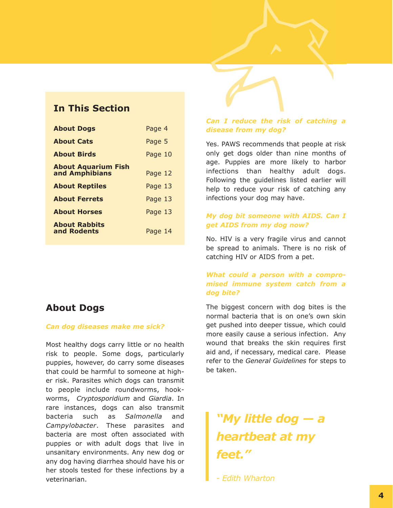## **In This Section**

| <b>About Dogs</b>                            | Page 4  |
|----------------------------------------------|---------|
| <b>About Cats</b>                            | Page 5  |
| <b>About Birds</b>                           | Page 10 |
| <b>About Aquarium Fish</b><br>and Amphibians | Page 12 |
| <b>About Reptiles</b>                        | Page 13 |
| <b>About Ferrets</b>                         | Page 13 |
| <b>About Horses</b>                          | Page 13 |
| <b>About Rabbits</b><br>and Rodents          | Page 14 |

## **About Dogs**

#### *Can dog diseases make me sick?*

Most healthy dogs carry little or no health risk to people. Some dogs, particularly puppies, however, do carry some diseases that could be harmful to someone at higher risk. Parasites which dogs can transmit to people include roundworms, hookworms, *Cryptosporidium* and *Giardia*. In rare instances, dogs can also transmit bacteria such as *Salmonella* and *Campylobacter*. These parasites and bacteria are most often associated with puppies or with adult dogs that live in unsanitary environments. Any new dog or any dog having diarrhea should have his or her stools tested for these infections by a veterinarian.

#### *Can I reduce the risk of catching a disease from my dog?*

Yes. PAWS recommends that people at risk only get dogs older than nine months of age. Puppies are more likely to harbor infections than healthy adult dogs. Following the guidelines listed earlier will help to reduce your risk of catching any infections your dog may have.

#### *My dog bit someone with AIDS. Can I get AIDS from my dog now?*

No. HIV is a very fragile virus and cannot be spread to animals. There is no risk of catching HIV or AIDS from a pet.

#### *What could a person with a compromised immune system catch from a dog bite?*

The biggest concern with dog bites is the normal bacteria that is on one's own skin get pushed into deeper tissue, which could more easily cause a serious infection. Any wound that breaks the skin requires first aid and, if necessary, medical care. Please refer to the *General Guidelines* for steps to be taken.

## *"My little dog — a heartbeat at my feet."*

*- Edith Wharton*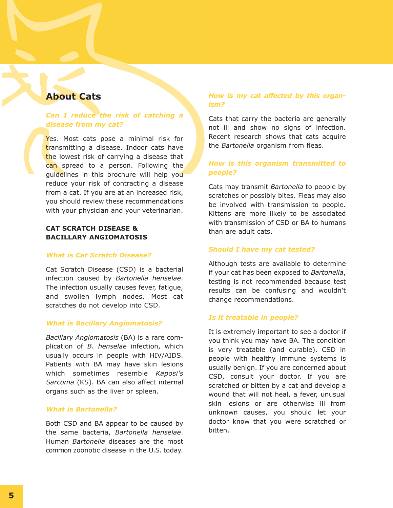### **About Cats**

#### *Can I reduce the risk of catching a disease from my cat?*

Yes. Most cats pose a minimal risk for transmitting a disease. Indoor cats have the lowest risk of carrying a disease that can spread to a person. Following the guidelines in this brochure will help you reduce your risk of contracting a disease from a cat. If you are at an increased risk, you should review these recommendations with your physician and your veterinarian.

#### **CAT SCRATCH DISEASE & BACILLARY ANGIOMATOSIS**

#### *What is Cat Scratch Disease?*

Cat Scratch Disease (CSD) is a bacterial infection caused by *Bartonella henselae*. The infection usually causes fever, fatigue, and swollen lymph nodes. Most cat scratches do not develop into CSD.

#### *What is Bacillary Angiomatosis?*

*Bacillary Angiomatosis* (BA) is a rare complication of *B. henselae* infection, which usually occurs in people with HIV/AIDS. Patients with BA may have skin lesions which sometimes resemble *Kaposi's Sarcoma* (KS). BA can also affect internal organs such as the liver or spleen.

#### *What is Bartonella?*

Both CSD and BA appear to be caused by the same bacteria, *Bartonella henselae*. Human *Bartonella* diseases are the most common zoonotic disease in the U.S. today.

#### *How is my cat affected by this organism?*

Cats that carry the bacteria are generally not ill and show no signs of infection. Recent research shows that cats acquire the *Bartonella* organism from fleas.

#### *How is this organism transmitted to people?*

Cats may transmit *Bartonella* to people by scratches or possibly bites. Fleas may also be involved with transmission to people. Kittens are more likely to be associated with transmission of CSD or BA to humans than are adult cats.

#### *Should I have my cat tested?*

Although tests are available to determine if your cat has been exposed to *Bartonella*, testing is not recommended because test results can be confusing and wouldn't change recommendations.

#### *Is it treatable in people?*

It is extremely important to see a doctor if you think you may have BA. The condition is very treatable (and curable). CSD in people with healthy immune systems is usually benign. If you are concerned about CSD, consult your doctor. If you are scratched or bitten by a cat and develop a wound that will not heal, a fever, unusual skin lesions or are otherwise ill from unknown causes, you should let your doctor know that you were scratched or bitten.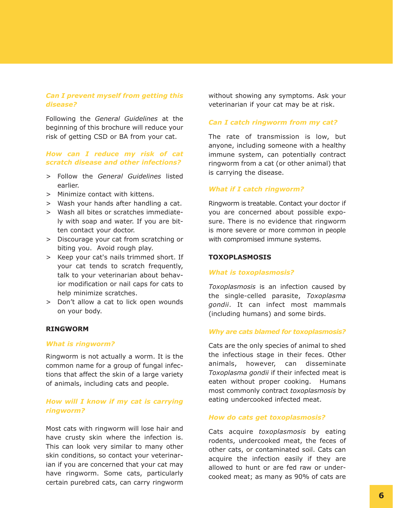#### *Can I prevent myself from getting this disease?*

Following the *General Guidelines* at the beginning of this brochure will reduce your risk of getting CSD or BA from your cat.

#### *How can I reduce my risk of cat scratch disease and other infections?*

- > Follow the *General Guidelines* listed earlier.
- > Minimize contact with kittens.
- > Wash your hands after handling a cat.
- > Wash all bites or scratches immediately with soap and water. If you are bitten contact your doctor.
- > Discourage your cat from scratching or biting you. Avoid rough play.
- > Keep your cat's nails trimmed short. If your cat tends to scratch frequently, talk to your veterinarian about behavior modification or nail caps for cats to help minimize scratches.
- > Don't allow a cat to lick open wounds on your body.

#### **RINGWORM**

#### *What is ringworm?*

Ringworm is not actually a worm. It is the common name for a group of fungal infections that affect the skin of a large variety of animals, including cats and people.

#### *How will I know if my cat is carrying ringworm?*

Most cats with ringworm will lose hair and have crusty skin where the infection is. This can look very similar to many other skin conditions, so contact your veterinarian if you are concerned that your cat may have ringworm. Some cats, particularly certain purebred cats, can carry ringworm without showing any symptoms. Ask your veterinarian if your cat may be at risk.

#### *Can I catch ringworm from my cat?*

The rate of transmission is low, but anyone, including someone with a healthy immune system, can potentially contract ringworm from a cat (or other animal) that is carrying the disease.

#### *What if I catch ringworm?*

Ringworm is treatable. Contact your doctor if you are concerned about possible exposure. There is no evidence that ringworm is more severe or more common in people with compromised immune systems.

#### **TOXOPLASMOSIS**

#### *What is toxoplasmosis?*

*Toxoplasmosis* is an infection caused by the single-celled parasite, *Toxoplasma gondii*. It can infect most mammals (including humans) and some birds.

#### *Why are cats blamed for toxoplasmosis?*

Cats are the only species of animal to shed the infectious stage in their feces. Other animals, however, can disseminate *Toxoplasma gondii* if their infected meat is eaten without proper cooking. Humans most commonly contract *toxoplasmosis* by eating undercooked infected meat.

#### *How do cats get toxoplasmosis?*

Cats acquire *toxoplasmosis* by eating rodents, undercooked meat, the feces of other cats, or contaminated soil. Cats can acquire the infection easily if they are allowed to hunt or are fed raw or undercooked meat; as many as 90% of cats are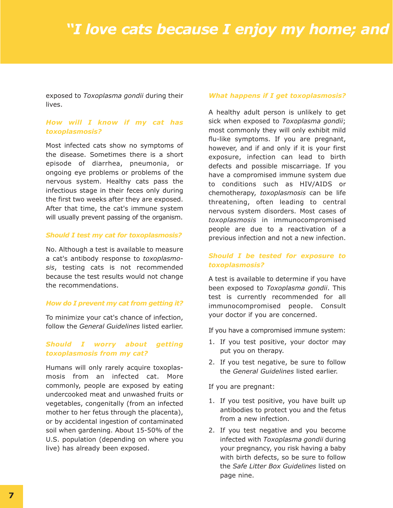exposed to *Toxoplasma gondii* during their lives.

#### *How will I know if my cat has toxoplasmosis?*

Most infected cats show no symptoms of the disease. Sometimes there is a short episode of diarrhea, pneumonia, or ongoing eye problems or problems of the nervous system. Healthy cats pass the infectious stage in their feces only during the first two weeks after they are exposed. After that time, the cat's immune system will usually prevent passing of the organism.

#### *Should I test my cat for toxoplasmosis?*

No. Although a test is available to measure a cat's antibody response to *toxoplasmosis*, testing cats is not recommended because the test results would not change the recommendations.

#### *How do I prevent my cat from getting it?*

To minimize your cat's chance of infection, follow the *General Guidelines* listed earlier.

#### *Should I worry about getting toxoplasmosis from my cat?*

Humans will only rarely acquire toxoplasmosis from an infected cat. More commonly, people are exposed by eating undercooked meat and unwashed fruits or vegetables, congenitally (from an infected mother to her fetus through the placenta), or by accidental ingestion of contaminated soil when gardening. About 15-50% of the U.S. population (depending on where you live) has already been exposed.

#### *What happens if I get toxoplasmosis?*

A healthy adult person is unlikely to get sick when exposed to *Toxoplasma gondii*; most commonly they will only exhibit mild flu-like symptoms. If you are pregnant, however, and if and only if it is your first exposure, infection can lead to birth defects and possible miscarriage. If you have a compromised immune system due to conditions such as HIV/AIDS or chemotherapy, *toxoplasmosis* can be life threatening, often leading to central nervous system disorders. Most cases of *toxoplasmosis* in immunocompromised people are due to a reactivation of a previous infection and not a new infection.

#### *Should I be tested for exposure to toxoplasmosis?*

A test is available to determine if you have been exposed to *Toxoplasma gondii*. This test is currently recommended for all immunocompromised people. Consult your doctor if you are concerned.

If you have a compromised immune system:

- 1. If you test positive, your doctor may put you on therapy.
- 2. If you test negative, be sure to follow the *General Guidelines* listed earlier.

If you are pregnant:

- 1. If you test positive, you have built up antibodies to protect you and the fetus from a new infection.
- 2. If you test negative and you become infected with *Toxoplasma gondii* during your pregnancy, you risk having a baby with birth defects, so be sure to follow the *Safe Litter Box Guidelines* listed on page nine.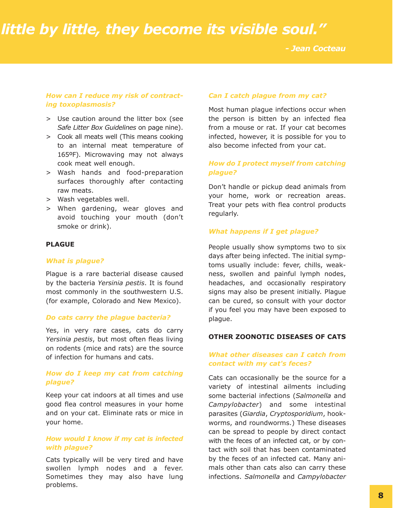## *little by little, they become its visible soul."*

#### *How can I reduce my risk of contracting toxoplasmosis?*

- > Use caution around the litter box (see *Safe Litter Box Guidelines* on page nine).
- > Cook all meats well (This means cooking to an internal meat temperature of 165ºF). Microwaving may not always cook meat well enough.
- > Wash hands and food-preparation surfaces thoroughly after contacting raw meats.
- > Wash vegetables well.
- > When gardening, wear gloves and avoid touching your mouth (don't smoke or drink).

#### **PLAGUE**

#### *What is plague?*

Plague is a rare bacterial disease caused by the bacteria *Yersinia pestis*. It is found most commonly in the southwestern U.S. (for example, Colorado and New Mexico).

#### *Do cats carry the plague bacteria?*

Yes, in very rare cases, cats do carry *Yersinia pestis*, but most often fleas living on rodents (mice and rats) are the source of infection for humans and cats.

#### *How do I keep my cat from catching plague?*

Keep your cat indoors at all times and use good flea control measures in your home and on your cat. Eliminate rats or mice in your home.

#### *How would I know if my cat is infected with plague?*

Cats typically will be very tired and have swollen lymph nodes and a fever. Sometimes they may also have lung problems.

#### *Can I catch plague from my cat?*

Most human plague infections occur when the person is bitten by an infected flea from a mouse or rat. If your cat becomes infected, however, it is possible for you to also become infected from your cat.

#### *How do I protect myself from catching plague?*

Don't handle or pickup dead animals from your home, work or recreation areas. Treat your pets with flea control products regularly.

#### *What happens if I get plague?*

People usually show symptoms two to six days after being infected. The initial symptoms usually include: fever, chills, weakness, swollen and painful lymph nodes, headaches, and occasionally respiratory signs may also be present initially. Plague can be cured, so consult with your doctor if you feel you may have been exposed to plague.

#### **OTHER ZOONOTIC DISEASES OF CATS**

#### *What other diseases can I catch from contact with my cat's feces?*

Cats can occasionally be the source for a variety of intestinal ailments including some bacterial infections (*Salmonella* and *Campylobacter*) and some intestinal parasites (*Giardia*, *Cryptosporidium*, hookworms, and roundworms.) These diseases can be spread to people by direct contact with the feces of an infected cat, or by contact with soil that has been contaminated by the feces of an infected cat. Many animals other than cats also can carry these infections. *Salmonella* and *Campylobacter*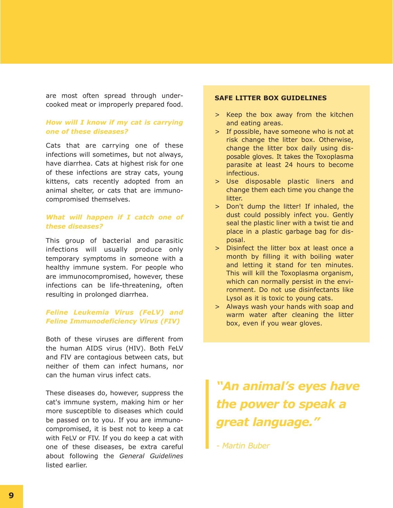are most often spread through undercooked meat or improperly prepared food.

#### *How will I know if my cat is carrying one of these diseases?*

Cats that are carrying one of these infections will sometimes, but not always, have diarrhea. Cats at highest risk for one of these infections are stray cats, young kittens, cats recently adopted from an animal shelter, or cats that are immunocompromised themselves.

#### *What will happen if I catch one of these diseases?*

This group of bacterial and parasitic infections will usually produce only temporary symptoms in someone with a healthy immune system. For people who are immunocompromised, however, these infections can be life-threatening, often resulting in prolonged diarrhea.

#### *Feline Leukemia Virus (FeLV) and Feline Immunodeficiency Virus (FIV)*

Both of these viruses are different from the human AIDS virus (HIV). Both FeLV and FIV are contagious between cats, but neither of them can infect humans, nor can the human virus infect cats.

These diseases do, however, suppress the cat's immune system, making him or her more susceptible to diseases which could be passed on to you. If you are immunocompromised, it is best not to keep a cat with FeLV or FIV. If you do keep a cat with one of these diseases, be extra careful about following the *General Guidelines* listed earlier.

#### **SAFE LITTER BOX GUIDELINES**

- > Keep the box away from the kitchen and eating areas.
- > If possible, have someone who is not at risk change the litter box. Otherwise, change the litter box daily using disposable gloves. It takes the Toxoplasma parasite at least 24 hours to become infectious.
- > Use disposable plastic liners and change them each time you change the litter.
- > Don't dump the litter! If inhaled, the dust could possibly infect you. Gently seal the plastic liner with a twist tie and place in a plastic garbage bag for disposal.
- > Disinfect the litter box at least once a month by filling it with boiling water and letting it stand for ten minutes. This will kill the Toxoplasma organism, which can normally persist in the environment. Do not use disinfectants like Lysol as it is toxic to young cats.
- > Always wash your hands with soap and warm water after cleaning the litter box, even if you wear gloves.

*"An animal's eyes have the power to speak a great language."*

*- Martin Buber*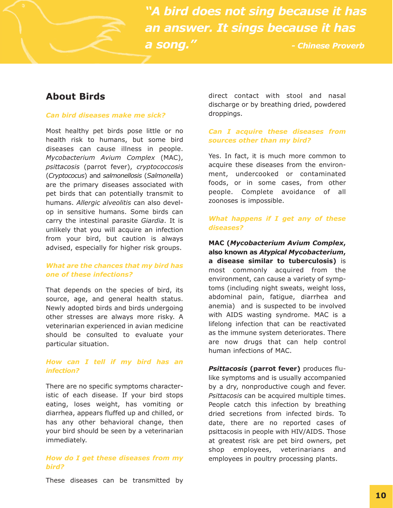*"A bird does not sing because it has an answer. It sings because it has* 

*a song." - Chinese Proverb*

### **About Birds**

#### *Can bird diseases make me sick?*

Most healthy pet birds pose little or no health risk to humans, but some bird diseases can cause illness in people. *Mycobacterium Avium Complex* (MAC), *psittacosis* (parrot fever), *cryptococcosis* (*Cryptococus*) and *salmonellosis* (*Salmonella*) are the primary diseases associated with pet birds that can potentially transmit to humans. *Allergic alveolitis* can also develop in sensitive humans. Some birds can carry the intestinal parasite *Giardia*. It is unlikely that you will acquire an infection from your bird, but caution is always advised, especially for higher risk groups.

#### *What are the chances that my bird has one of these infections?*

That depends on the species of bird, its source, age, and general health status. Newly adopted birds and birds undergoing other stresses are always more risky. A veterinarian experienced in avian medicine should be consulted to evaluate your particular situation.

#### *How can I tell if my bird has an infection?*

There are no specific symptoms characteristic of each disease. If your bird stops eating, loses weight, has vomiting or diarrhea, appears fluffed up and chilled, or has any other behavioral change, then your bird should be seen by a veterinarian immediately.

#### *How do I get these diseases from my bird?*

direct contact with stool and nasal discharge or by breathing dried, powdered droppings.

#### *Can I acquire these diseases from sources other than my bird?*

Yes. In fact, it is much more common to acquire these diseases from the environment, undercooked or contaminated foods, or in some cases, from other people. Complete avoidance of all zoonoses is impossible.

#### *What happens if I get any of these diseases?*

**MAC (***Mycobacterium Avium Complex***, also known as** *Atypical Mycobacterium***, a disease similar to tuberculosis)** is most commonly acquired from the environment, can cause a variety of symptoms (including night sweats, weight loss, abdominal pain, fatigue, diarrhea and anemia) and is suspected to be involved with AIDS wasting syndrome. MAC is a lifelong infection that can be reactivated as the immune system deteriorates. There are now drugs that can help control human infections of MAC.

*Psittacosis* **(parrot fever)** produces flulike symptoms and is usually accompanied by a dry, nonproductive cough and fever. *Psittacosis* can be acquired multiple times. People catch this infection by breathing dried secretions from infected birds. To date, there are no reported cases of psittacosis in people with HIV/AIDS. Those at greatest risk are pet bird owners, pet shop employees, veterinarians and employees in poultry processing plants.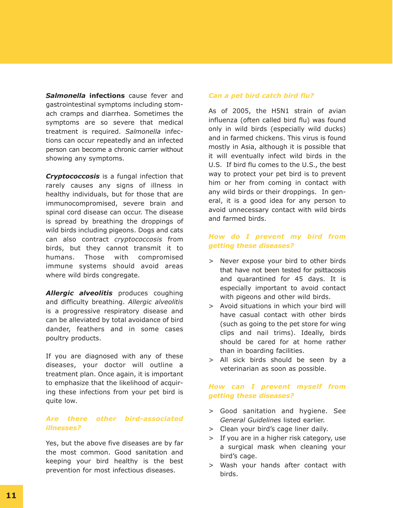*Salmonella* **infections** cause fever and gastrointestinal symptoms including stomach cramps and diarrhea. Sometimes the symptoms are so severe that medical treatment is required. *Salmonella* infections can occur repeatedly and an infected person can become a chronic carrier without showing any symptoms.

*Cryptococcosis* is a fungal infection that rarely causes any signs of illness in healthy individuals, but for those that are immunocompromised, severe brain and spinal cord disease can occur. The disease is spread by breathing the droppings of wild birds including pigeons. Dogs and cats can also contract *cryptococcosis* from birds, but they cannot transmit it to humans. Those with compromised immune systems should avoid areas where wild birds congregate.

*Allergic alveolitis* produces coughing and difficulty breathing. *Allergic alveolitis* is a progressive respiratory disease and can be alleviated by total avoidance of bird dander, feathers and in some cases poultry products.

If you are diagnosed with any of these diseases, your doctor will outline a treatment plan. Once again, it is important to emphasize that the likelihood of acquiring these infections from your pet bird is quite low.

#### *Are there other bird-associated illnesses?*

Yes, but the above five diseases are by far the most common. Good sanitation and keeping your bird healthy is the best prevention for most infectious diseases.

#### *Can a pet bird catch bird flu?*

As of 2005, the H5N1 strain of avian influenza (often called bird flu) was found only in wild birds (especially wild ducks) and in farmed chickens. This virus is found mostly in Asia, although it is possible that it will eventually infect wild birds in the U.S. If bird flu comes to the U.S., the best way to protect your pet bird is to prevent him or her from coming in contact with any wild birds or their droppings. In general, it is a good idea for any person to avoid unnecessary contact with wild birds and farmed birds.

#### *How do I prevent my bird from getting these diseases?*

- > Never expose your bird to other birds that have not been tested for psittacosis and quarantined for 45 days. It is especially important to avoid contact with pigeons and other wild birds.
- > Avoid situations in which your bird will have casual contact with other birds (such as going to the pet store for wing clips and nail trims). Ideally, birds should be cared for at home rather than in boarding facilities.
- > All sick birds should be seen by a veterinarian as soon as possible.

#### *How can I prevent myself from getting these diseases?*

- > Good sanitation and hygiene. See *General Guidelines* listed earlier.
- > Clean your bird's cage liner daily.
- > If you are in a higher risk category, use a surgical mask when cleaning your bird's cage.
- > Wash your hands after contact with birds.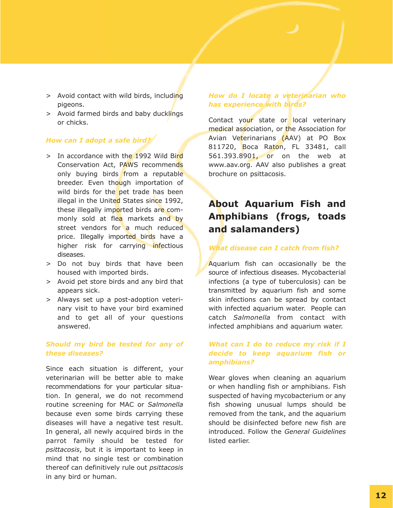- > Avoid contact with wild birds, including pigeons.
- > Avoid farmed birds and baby ducklings or chicks.

#### *How can I adopt a safe bird?*

- > In accordance with the 1992 Wild Bird Conservation Act, PAWS recommends only buying birds from a reputable breeder. Even though importation of wild birds for the pet trade has been illegal in the United States since 1992, these illegally imported birds are commonly sold at flea markets and by street vendors for a much reduced price. Illegally imported birds have a higher risk for carrying infectious diseases.
- > Do not buy birds that have been housed with imported birds.
- > Avoid pet store birds and any bird that appears sick.
- > Always set up a post-adoption veterinary visit to have your bird examined and to get all of your questions answered.

#### *Should my bird be tested for any of these diseases?*

Since each situation is different, your veterinarian will be better able to make recommendations for your particular situation. In general, we do not recommend routine screening for MAC or *Salmonella* because even some birds carrying these diseases will have a negative test result. In general, all newly acquired birds in the parrot family should be tested for *psittacosis*, but it is important to keep in mind that no single test or combination thereof can definitively rule out *psittacosis* in any bird or human.

#### *How do I locate a veterinarian who has experience with birds?*

Contact your state or local veterinary medical association, or the Association for Avian Veterinarians (AAV) at PO Box 811720, Boca Raton, FL 33481, call 561.393.8901, or on the web at www.aav.org. AAV also publishes a great brochure on psittacosis.

## **About Aquarium Fish and Amphibians (frogs, toads and salamanders)**

#### *What disease can I catch from fish?*

Aquarium fish can occasionally be the source of infectious diseases. Mycobacterial infections (a type of tuberculosis) can be transmitted by aquarium fish and some skin infections can be spread by contact with infected aquarium water. People can catch *Salmonella* from contact with infected amphibians and aquarium water.

#### *What can I do to reduce my risk if I decide to keep aquarium fish or amphibians?*

Wear gloves when cleaning an aquarium or when handling fish or amphibians. Fish suspected of having mycobacterium or any fish showing unusual lumps should be removed from the tank, and the aquarium should be disinfected before new fish are introduced. Follow the *General Guidelines* listed earlier.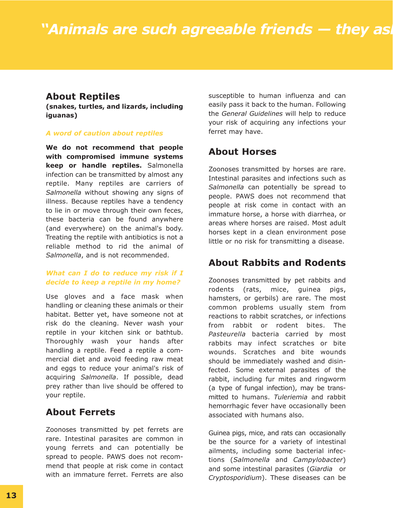### **About Reptiles**

**(snakes, turtles, and lizards, including iguanas)**

#### *A word of caution about reptiles*

**We do not recommend that people with compromised immune systems keep or handle reptiles.** Salmonella infection can be transmitted by almost any reptile. Many reptiles are carriers of *Salmonella* without showing any signs of illness. Because reptiles have a tendency to lie in or move through their own feces, these bacteria can be found anywhere (and everywhere) on the animal's body. Treating the reptile with antibiotics is not a reliable method to rid the animal of *Salmonella*, and is not recommended.

#### *What can I do to reduce my risk if I decide to keep a reptile in my home?*

Use gloves and a face mask when handling or cleaning these animals or their habitat. Better yet, have someone not at risk do the cleaning. Never wash your reptile in your kitchen sink or bathtub. Thoroughly wash your hands after handling a reptile. Feed a reptile a commercial diet and avoid feeding raw meat and eggs to reduce your animal's risk of acquiring *Salmonella*. If possible, dead prey rather than live should be offered to your reptile.

## **About Ferrets**

Zoonoses transmitted by pet ferrets are rare. Intestinal parasites are common in young ferrets and can potentially be spread to people. PAWS does not recommend that people at risk come in contact with an immature ferret. Ferrets are also

susceptible to human influenza and can easily pass it back to the human. Following the *General Guidelines* will help to reduce your risk of acquiring any infections your ferret may have.

## **About Horses**

Zoonoses transmitted by horses are rare. Intestinal parasites and infections such as *Salmonella* can potentially be spread to people. PAWS does not recommend that people at risk come in contact with an immature horse, a horse with diarrhea, or areas where horses are raised. Most adult horses kept in a clean environment pose little or no risk for transmitting a disease.

## **About Rabbits and Rodents**

Zoonoses transmitted by pet rabbits and rodents (rats, mice, guinea pigs, hamsters, or gerbils) are rare. The most common problems usually stem from reactions to rabbit scratches, or infections from rabbit or rodent bites. The *Pasteurella* bacteria carried by most rabbits may infect scratches or bite wounds. Scratches and bite wounds should be immediately washed and disinfected. Some external parasites of the rabbit, including fur mites and ringworm (a type of fungal infection), may be transmitted to humans. *Tuleriemia* and rabbit hemorrhagic fever have occasionally been associated with humans also.

Guinea pigs, mice, and rats can occasionally be the source for a variety of intestinal ailments, including some bacterial infections (*Salmonella* and *Campylobacter*) and some intestinal parasites (*Giardia* or *Cryptosporidium*). These diseases can be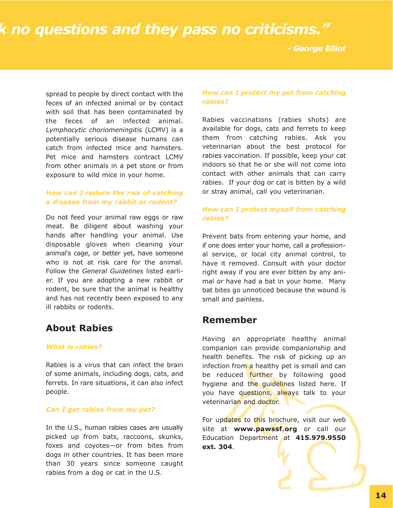## *k no questions and they pass no criticisms."*

*- George Elliot*

spread to people by direct contact with the feces of an infected animal or by contact with soil that has been contaminated by the feces of an infected animal. *Lymphocytic choriomeningitis* (LCMV) is a potentially serious disease humans can catch from infected mice and hamsters. Pet mice and hamsters contract LCMV from other animals in a pet store or from exposure to wild mice in your home.

#### *How can I reduce the risk of catching a disease from my rabbit or rodent?*

Do not feed your animal raw eggs or raw meat. Be diligent about washing your hands after handling your animal. Use disposable gloves when cleaning your animal's cage, or better yet, have someone who is not at risk care for the animal. Follow the *General Guidelines* listed earlier. If you are adopting a new rabbit or rodent, be sure that the animal is healthy and has not recently been exposed to any ill rabbits or rodents.

## **About Rabies**

#### *What is rabies?*

Rabies is a virus that can infect the brain of some animals, including dogs, cats, and ferrets. In rare situations, it can also infect people.

#### *Can I get rabies from my pet?*

In the U.S., human rabies cases are usually picked up from bats, raccoons, skunks, foxes and coyotes—or from bites from dogs in other countries. It has been more than 30 years since someone caught rabies from a dog or cat in the U.S.

#### *How can I protect my pet from catching rabies?*

Rabies vaccinations (rabies shots) are available for dogs, cats and ferrets to keep them from catching rabies. Ask you veterinarian about the best protocol for rabies vaccination. If possible, keep your cat indoors so that he or she will not come into contact with other animals that can carry rabies. If your dog or cat is bitten by a wild or stray animal, call you veterinarian.

#### *How can I protect myself from catching rabies?*

Prevent bats from entering your home, and if one does enter your home, call a professional service, or local city animal control, to have it removed. Consult with your doctor right away if you are ever bitten by any animal or have had a bat in your home. Many bat bites go unnoticed because the wound is small and painless.

### **Remember**

Having an appropriate healthy animal companion can provide companionship and health benefits. The risk of picking up an infection from a healthy pet is small and can be reduced further by following good hygiene and the quidelines listed here. If you have questions, always talk to your veterinarian and doctor.

For updates to this brochure, visit our web site at **www.pawssf.org** or call our Education Department at **415.979.9550 ext. 304**.